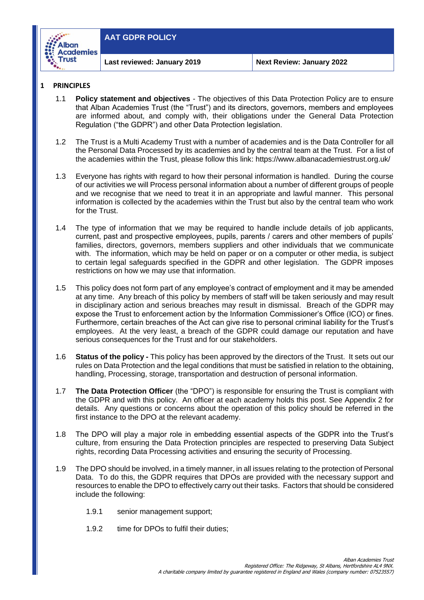

#### **1 PRINCIPLES**

- 1.1 **Policy statement and objectives** The objectives of this Data Protection Policy are to ensure that Alban Academies Trust (the "Trust") and its directors, governors, members and employees are informed about, and comply with, their obligations under the General Data Protection Regulation ("the GDPR") and other Data Protection legislation.
- 1.2 The Trust is a Multi Academy Trust with a number of academies and is the Data Controller for all the Personal Data Processed by its academies and by the central team at the Trust. For a list of the academies within the Trust, please follow this link:<https://www.albanacademiestrust.org.uk/>
- 1.3 Everyone has rights with regard to how their personal information is handled. During the course of our activities we will Process personal information about a number of different groups of people and we recognise that we need to treat it in an appropriate and lawful manner. This personal information is collected by the academies within the Trust but also by the central team who work for the Trust.
- 1.4 The type of information that we may be required to handle include details of job applicants, current, past and prospective employees, pupils, parents / carers and other members of pupils' families, directors, governors, members suppliers and other individuals that we communicate with. The information, which may be held on paper or on a computer or other media, is subject to certain legal safeguards specified in the GDPR and other legislation. The GDPR imposes restrictions on how we may use that information.
- 1.5 This policy does not form part of any employee's contract of employment and it may be amended at any time. Any breach of this policy by members of staff will be taken seriously and may result in disciplinary action and serious breaches may result in dismissal. Breach of the GDPR may expose the Trust to enforcement action by the Information Commissioner's Office (ICO) or fines. Furthermore, certain breaches of the Act can give rise to personal criminal liability for the Trust's employees. At the very least, a breach of the GDPR could damage our reputation and have serious consequences for the Trust and for our stakeholders.
- 1.6 **Status of the policy -** This policy has been approved by the directors of the Trust. It sets out our rules on Data Protection and the legal conditions that must be satisfied in relation to the obtaining, handling, Processing, storage, transportation and destruction of personal information.
- 1.7 **The Data Protection Officer** (the "DPO") is responsible for ensuring the Trust is compliant with the GDPR and with this policy. An officer at each academy holds this post. See Appendix 2 for details. Any questions or concerns about the operation of this policy should be referred in the first instance to the DPO at the relevant academy.
- 1.8 The DPO will play a major role in embedding essential aspects of the GDPR into the Trust's culture, from ensuring the Data Protection principles are respected to preserving Data Subject rights, recording Data Processing activities and ensuring the security of Processing.
- 1.9 The DPO should be involved, in a timely manner, in all issues relating to the protection of Personal Data. To do this, the GDPR requires that DPOs are provided with the necessary support and resources to enable the DPO to effectively carry out their tasks. Factors that should be considered include the following:
	- 1.9.1 senior management support;
	- 1.9.2 time for DPOs to fulfil their duties;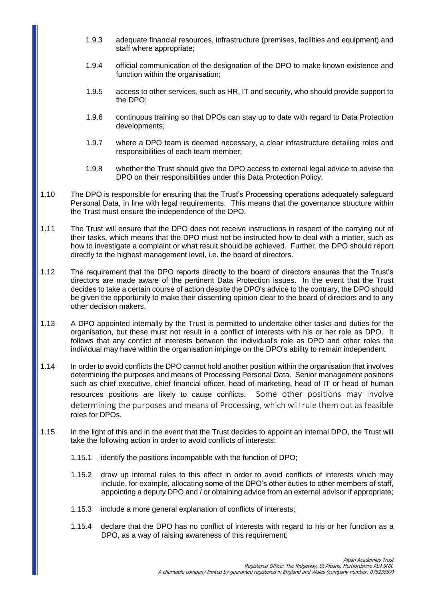- 1.9.3 adequate financial resources, infrastructure (premises, facilities and equipment) and staff where appropriate;
- 1.9.4 official communication of the designation of the DPO to make known existence and function within the organisation;
- 1.9.5 access to other services, such as HR, IT and security, who should provide support to the DPO;
- 1.9.6 continuous training so that DPOs can stay up to date with regard to Data Protection developments;
- 1.9.7 where a DPO team is deemed necessary, a clear infrastructure detailing roles and responsibilities of each team member;
- 1.9.8 whether the Trust should give the DPO access to external legal advice to advise the DPO on their responsibilities under this Data Protection Policy.
- 1.10 The DPO is responsible for ensuring that the Trust's Processing operations adequately safeguard Personal Data, in line with legal requirements. This means that the governance structure within the Trust must ensure the independence of the DPO.
- 1.11 The Trust will ensure that the DPO does not receive instructions in respect of the carrying out of their tasks, which means that the DPO must not be instructed how to deal with a matter, such as how to investigate a complaint or what result should be achieved. Further, the DPO should report directly to the highest management level, i.e. the board of directors.
- 1.12 The requirement that the DPO reports directly to the board of directors ensures that the Trust's directors are made aware of the pertinent Data Protection issues. In the event that the Trust decides to take a certain course of action despite the DPO's advice to the contrary, the DPO should be given the opportunity to make their dissenting opinion clear to the board of directors and to any other decision makers.
- 1.13 A DPO appointed internally by the Trust is permitted to undertake other tasks and duties for the organisation, but these must not result in a conflict of interests with his or her role as DPO. It follows that any conflict of interests between the individual's role as DPO and other roles the individual may have within the organisation impinge on the DPO's ability to remain independent.
- 1.14 In order to avoid conflicts the DPO cannot hold another position within the organisation that involves determining the purposes and means of Processing Personal Data. Senior management positions such as chief executive, chief financial officer, head of marketing, head of IT or head of human resources positions are likely to cause conflicts. Some other positions may involve determining the purposes and means of Processing, which will rule them out as feasible roles for DPOs.
- 1.15 In the light of this and in the event that the Trust decides to appoint an internal DPO, the Trust will take the following action in order to avoid conflicts of interests:
	- 1.15.1 identify the positions incompatible with the function of DPO;
	- 1.15.2 draw up internal rules to this effect in order to avoid conflicts of interests which may include, for example, allocating some of the DPO's other duties to other members of staff, appointing a deputy DPO and / or obtaining advice from an external advisor if appropriate;
	- 1.15.3 include a more general explanation of conflicts of interests;
	- 1.15.4 declare that the DPO has no conflict of interests with regard to his or her function as a DPO, as a way of raising awareness of this requirement;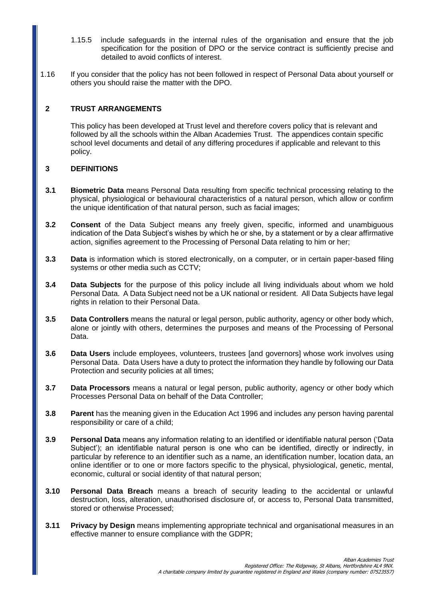- 1.15.5 include safeguards in the internal rules of the organisation and ensure that the job specification for the position of DPO or the service contract is sufficiently precise and detailed to avoid conflicts of interest.
- 1.16 If you consider that the policy has not been followed in respect of Personal Data about yourself or others you should raise the matter with the DPO.

## **2 TRUST ARRANGEMENTS**

This policy has been developed at Trust level and therefore covers policy that is relevant and followed by all the schools within the Alban Academies Trust. The appendices contain specific school level documents and detail of any differing procedures if applicable and relevant to this policy.

## **3 DEFINITIONS**

- **3.1 Biometric Data** means Personal Data resulting from specific technical processing relating to the physical, physiological or behavioural characteristics of a natural person, which allow or confirm the unique identification of that natural person, such as facial images;
- **3.2 Consent** of the Data Subject means any freely given, specific, informed and unambiguous indication of the Data Subject's wishes by which he or she, by a statement or by a clear affirmative action, signifies agreement to the Processing of Personal Data relating to him or her;
- **3.3 Data** is information which is stored electronically, on a computer, or in certain paper-based filing systems or other media such as CCTV;
- **3.4 Data Subjects** for the purpose of this policy include all living individuals about whom we hold Personal Data. A Data Subject need not be a UK national or resident. All Data Subjects have legal rights in relation to their Personal Data.
- **3.5 Data Controllers** means the natural or legal person, public authority, agency or other body which, alone or jointly with others, determines the purposes and means of the Processing of Personal Data.
- **3.6 Data Users** include employees, volunteers, trustees [and governors] whose work involves using Personal Data. Data Users have a duty to protect the information they handle by following our Data Protection and security policies at all times;
- **3.7 Data Processors** means a natural or legal person, public authority, agency or other body which Processes Personal Data on behalf of the Data Controller;
- **3.8 Parent** has the meaning given in the Education Act 1996 and includes any person having parental responsibility or care of a child;
- **3.9 Personal Data** means any information relating to an identified or identifiable natural person ('Data Subject'); an identifiable natural person is one who can be identified, directly or indirectly, in particular by reference to an identifier such as a name, an identification number, location data, an online identifier or to one or more factors specific to the physical, physiological, genetic, mental, economic, cultural or social identity of that natural person;
- **3.10 Personal Data Breach** means a breach of security leading to the accidental or unlawful destruction, loss, alteration, unauthorised disclosure of, or access to, Personal Data transmitted, stored or otherwise Processed;
- **3.11 Privacy by Design** means implementing appropriate technical and organisational measures in an effective manner to ensure compliance with the GDPR;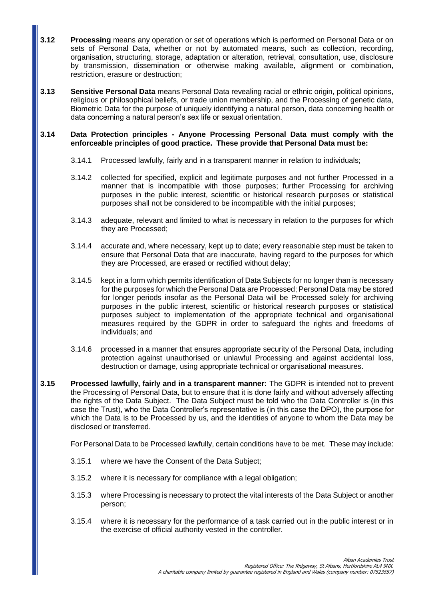- **3.12 Processing** means any operation or set of operations which is performed on Personal Data or on sets of Personal Data, whether or not by automated means, such as collection, recording, organisation, structuring, storage, adaptation or alteration, retrieval, consultation, use, disclosure by transmission, dissemination or otherwise making available, alignment or combination, restriction, erasure or destruction;
- **3.13 Sensitive Personal Data** means Personal Data revealing racial or ethnic origin, political opinions, religious or philosophical beliefs, or trade union membership, and the Processing of genetic data, Biometric Data for the purpose of uniquely identifying a natural person, data concerning health or data concerning a natural person's sex life or sexual orientation.

### **3.14 Data Protection principles - Anyone Processing Personal Data must comply with the enforceable principles of good practice. These provide that Personal Data must be:**

- 3.14.1 Processed lawfully, fairly and in a transparent manner in relation to individuals;
- 3.14.2 collected for specified, explicit and legitimate purposes and not further Processed in a manner that is incompatible with those purposes; further Processing for archiving purposes in the public interest, scientific or historical research purposes or statistical purposes shall not be considered to be incompatible with the initial purposes;
- 3.14.3 adequate, relevant and limited to what is necessary in relation to the purposes for which they are Processed;
- 3.14.4 accurate and, where necessary, kept up to date; every reasonable step must be taken to ensure that Personal Data that are inaccurate, having regard to the purposes for which they are Processed, are erased or rectified without delay;
- 3.14.5 kept in a form which permits identification of Data Subjects for no longer than is necessary for the purposes for which the Personal Data are Processed; Personal Data may be stored for longer periods insofar as the Personal Data will be Processed solely for archiving purposes in the public interest, scientific or historical research purposes or statistical purposes subject to implementation of the appropriate technical and organisational measures required by the GDPR in order to safeguard the rights and freedoms of individuals; and
- 3.14.6 processed in a manner that ensures appropriate security of the Personal Data, including protection against unauthorised or unlawful Processing and against accidental loss, destruction or damage, using appropriate technical or organisational measures.
- **3.15 Processed lawfully, fairly and in a transparent manner:** The GDPR is intended not to prevent the Processing of Personal Data, but to ensure that it is done fairly and without adversely affecting the rights of the Data Subject. The Data Subject must be told who the Data Controller is (in this case the Trust), who the Data Controller's representative is (in this case the DPO), the purpose for which the Data is to be Processed by us, and the identities of anyone to whom the Data may be disclosed or transferred.

For Personal Data to be Processed lawfully, certain conditions have to be met. These may include:

- 3.15.1 where we have the Consent of the Data Subject;
- 3.15.2 where it is necessary for compliance with a legal obligation;
- 3.15.3 where Processing is necessary to protect the vital interests of the Data Subject or another person;
- 3.15.4 where it is necessary for the performance of a task carried out in the public interest or in the exercise of official authority vested in the controller.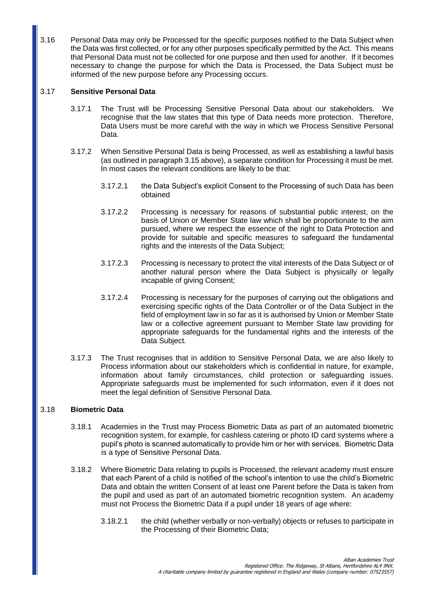3.16 Personal Data may only be Processed for the specific purposes notified to the Data Subject when the Data was first collected, or for any other purposes specifically permitted by the Act. This means that Personal Data must not be collected for one purpose and then used for another. If it becomes necessary to change the purpose for which the Data is Processed, the Data Subject must be informed of the new purpose before any Processing occurs.

## 3.17 **Sensitive Personal Data**

- 3.17.1 The Trust will be Processing Sensitive Personal Data about our stakeholders. We recognise that the law states that this type of Data needs more protection. Therefore, Data Users must be more careful with the way in which we Process Sensitive Personal Data.
- 3.17.2 When Sensitive Personal Data is being Processed, as well as establishing a lawful basis (as outlined in paragraph 3.15 above), a separate condition for Processing it must be met. In most cases the relevant conditions are likely to be that:
	- 3.17.2.1 the Data Subject's explicit Consent to the Processing of such Data has been obtained
	- 3.17.2.2 Processing is necessary for reasons of substantial public interest, on the basis of Union or Member State law which shall be proportionate to the aim pursued, where we respect the essence of the right to Data Protection and provide for suitable and specific measures to safeguard the fundamental rights and the interests of the Data Subject;
	- 3.17.2.3 Processing is necessary to protect the vital interests of the Data Subject or of another natural person where the Data Subject is physically or legally incapable of giving Consent;
	- 3.17.2.4 Processing is necessary for the purposes of carrying out the obligations and exercising specific rights of the Data Controller or of the Data Subject in the field of employment law in so far as it is authorised by Union or Member State law or a collective agreement pursuant to Member State law providing for appropriate safeguards for the fundamental rights and the interests of the Data Subject.
- 3.17.3 The Trust recognises that in addition to Sensitive Personal Data, we are also likely to Process information about our stakeholders which is confidential in nature, for example, information about family circumstances, child protection or safeguarding issues. Appropriate safeguards must be implemented for such information, even if it does not meet the legal definition of Sensitive Personal Data.

### 3.18 **Biometric Data**

- 3.18.1 Academies in the Trust may Process Biometric Data as part of an automated biometric recognition system, for example, for cashless catering or photo ID card systems where a pupil's photo is scanned automatically to provide him or her with services. Biometric Data is a type of Sensitive Personal Data.
- 3.18.2 Where Biometric Data relating to pupils is Processed, the relevant academy must ensure that each Parent of a child is notified of the school's intention to use the child's Biometric Data and obtain the written Consent of at least one Parent before the Data is taken from the pupil and used as part of an automated biometric recognition system. An academy must not Process the Biometric Data if a pupil under 18 years of age where:
	- 3.18.2.1 the child (whether verbally or non-verbally) objects or refuses to participate in the Processing of their Biometric Data;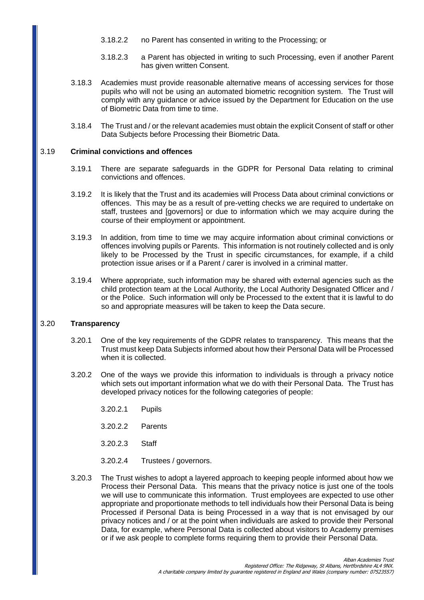- 3.18.2.2 no Parent has consented in writing to the Processing; or
- 3.18.2.3 a Parent has objected in writing to such Processing, even if another Parent has given written Consent.
- 3.18.3 Academies must provide reasonable alternative means of accessing services for those pupils who will not be using an automated biometric recognition system. The Trust will comply with any guidance or advice issued by the Department for Education on the use of Biometric Data from time to time.
- 3.18.4 The Trust and / or the relevant academies must obtain the explicit Consent of staff or other Data Subjects before Processing their Biometric Data.

#### 3.19 **Criminal convictions and offences**

- 3.19.1 There are separate safeguards in the GDPR for Personal Data relating to criminal convictions and offences.
- 3.19.2 It is likely that the Trust and its academies will Process Data about criminal convictions or offences. This may be as a result of pre-vetting checks we are required to undertake on staff, trustees and [governors] or due to information which we may acquire during the course of their employment or appointment.
- 3.19.3 In addition, from time to time we may acquire information about criminal convictions or offences involving pupils or Parents. This information is not routinely collected and is only likely to be Processed by the Trust in specific circumstances, for example, if a child protection issue arises or if a Parent / carer is involved in a criminal matter.
- 3.19.4 Where appropriate, such information may be shared with external agencies such as the child protection team at the Local Authority, the Local Authority Designated Officer and / or the Police. Such information will only be Processed to the extent that it is lawful to do so and appropriate measures will be taken to keep the Data secure.

## 3.20 **Transparency**

- 3.20.1 One of the key requirements of the GDPR relates to transparency. This means that the Trust must keep Data Subjects informed about how their Personal Data will be Processed when it is collected.
- 3.20.2 One of the ways we provide this information to individuals is through a privacy notice which sets out important information what we do with their Personal Data. The Trust has developed privacy notices for the following categories of people:
	- 3.20.2.1 Pupils
	- 3.20.2.2 Parents
	- 3.20.2.3 Staff
	- 3.20.2.4 Trustees / governors.
- 3.20.3 The Trust wishes to adopt a layered approach to keeping people informed about how we Process their Personal Data. This means that the privacy notice is just one of the tools we will use to communicate this information. Trust employees are expected to use other appropriate and proportionate methods to tell individuals how their Personal Data is being Processed if Personal Data is being Processed in a way that is not envisaged by our privacy notices and / or at the point when individuals are asked to provide their Personal Data, for example, where Personal Data is collected about visitors to Academy premises or if we ask people to complete forms requiring them to provide their Personal Data.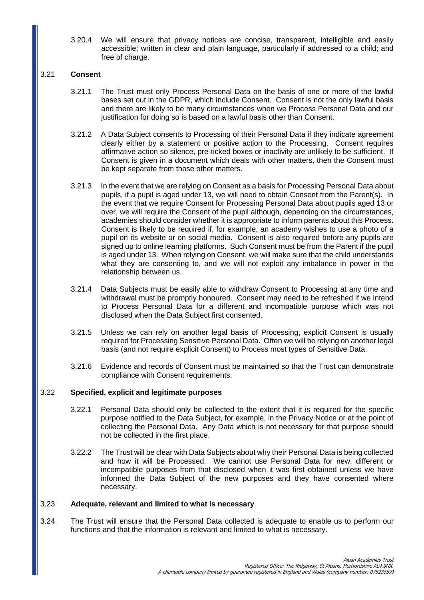3.20.4 We will ensure that privacy notices are concise, transparent, intelligible and easily accessible; written in clear and plain language, particularly if addressed to a child; and free of charge.

### 3.21 **Consent**

- 3.21.1 The Trust must only Process Personal Data on the basis of one or more of the lawful bases set out in the GDPR, which include Consent. Consent is not the only lawful basis and there are likely to be many circumstances when we Process Personal Data and our justification for doing so is based on a lawful basis other than Consent.
- 3.21.2 A Data Subject consents to Processing of their Personal Data if they indicate agreement clearly either by a statement or positive action to the Processing. Consent requires affirmative action so silence, pre-ticked boxes or inactivity are unlikely to be sufficient. If Consent is given in a document which deals with other matters, then the Consent must be kept separate from those other matters.
- 3.21.3 In the event that we are relying on Consent as a basis for Processing Personal Data about pupils, if a pupil is aged under 13, we will need to obtain Consent from the Parent(s). In the event that we require Consent for Processing Personal Data about pupils aged 13 or over, we will require the Consent of the pupil although, depending on the circumstances, academies should consider whether it is appropriate to inform parents about this Process. Consent is likely to be required if, for example, an academy wishes to use a photo of a pupil on its website or on social media. Consent is also required before any pupils are signed up to online learning platforms. Such Consent must be from the Parent if the pupil is aged under 13. When relying on Consent, we will make sure that the child understands what they are consenting to, and we will not exploit any imbalance in power in the relationship between us.
- 3.21.4 Data Subjects must be easily able to withdraw Consent to Processing at any time and withdrawal must be promptly honoured. Consent may need to be refreshed if we intend to Process Personal Data for a different and incompatible purpose which was not disclosed when the Data Subject first consented.
- 3.21.5 Unless we can rely on another legal basis of Processing, explicit Consent is usually required for Processing Sensitive Personal Data. Often we will be relying on another legal basis (and not require explicit Consent) to Process most types of Sensitive Data.
- 3.21.6 Evidence and records of Consent must be maintained so that the Trust can demonstrate compliance with Consent requirements.

### 3.22 **Specified, explicit and legitimate purposes**

- 3.22.1 Personal Data should only be collected to the extent that it is required for the specific purpose notified to the Data Subject, for example, in the Privacy Notice or at the point of collecting the Personal Data. Any Data which is not necessary for that purpose should not be collected in the first place.
- 3.22.2 The Trust will be clear with Data Subjects about why their Personal Data is being collected and how it will be Processed. We cannot use Personal Data for new, different or incompatible purposes from that disclosed when it was first obtained unless we have informed the Data Subject of the new purposes and they have consented where necessary.

### 3.23 **Adequate, relevant and limited to what is necessary**

3.24 The Trust will ensure that the Personal Data collected is adequate to enable us to perform our functions and that the information is relevant and limited to what is necessary.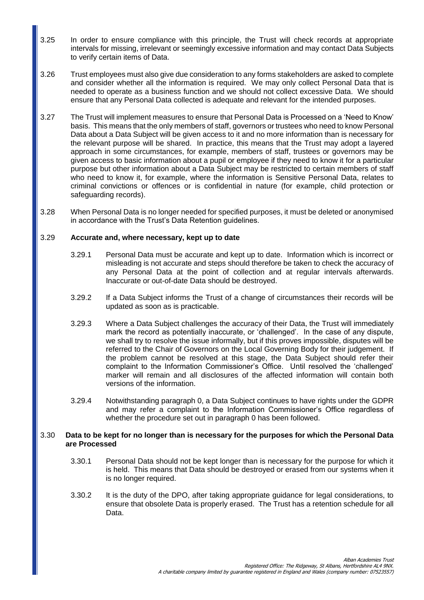- 3.25 In order to ensure compliance with this principle, the Trust will check records at appropriate intervals for missing, irrelevant or seemingly excessive information and may contact Data Subjects to verify certain items of Data.
- 3.26 Trust employees must also give due consideration to any forms stakeholders are asked to complete and consider whether all the information is required. We may only collect Personal Data that is needed to operate as a business function and we should not collect excessive Data. We should ensure that any Personal Data collected is adequate and relevant for the intended purposes.
- 3.27 The Trust will implement measures to ensure that Personal Data is Processed on a 'Need to Know' basis. This means that the only members of staff, governors or trustees who need to know Personal Data about a Data Subject will be given access to it and no more information than is necessary for the relevant purpose will be shared. In practice, this means that the Trust may adopt a layered approach in some circumstances, for example, members of staff, trustees or governors may be given access to basic information about a pupil or employee if they need to know it for a particular purpose but other information about a Data Subject may be restricted to certain members of staff who need to know it, for example, where the information is Sensitive Personal Data, relates to criminal convictions or offences or is confidential in nature (for example, child protection or safeguarding records).
- 3.28 When Personal Data is no longer needed for specified purposes, it must be deleted or anonymised in accordance with the Trust's Data Retention guidelines.

## 3.29 **Accurate and, where necessary, kept up to date**

- 3.29.1 Personal Data must be accurate and kept up to date. Information which is incorrect or misleading is not accurate and steps should therefore be taken to check the accuracy of any Personal Data at the point of collection and at regular intervals afterwards. Inaccurate or out-of-date Data should be destroyed.
- 3.29.2 If a Data Subject informs the Trust of a change of circumstances their records will be updated as soon as is practicable.
- 3.29.3 Where a Data Subject challenges the accuracy of their Data, the Trust will immediately mark the record as potentially inaccurate, or 'challenged'. In the case of any dispute, we shall try to resolve the issue informally, but if this proves impossible, disputes will be referred to the Chair of Governors on the Local Governing Body for their judgement. If the problem cannot be resolved at this stage, the Data Subject should refer their complaint to the Information Commissioner's Office. Until resolved the 'challenged' marker will remain and all disclosures of the affected information will contain both versions of the information.
- 3.29.4 Notwithstanding paragraph 0, a Data Subject continues to have rights under the GDPR and may refer a complaint to the Information Commissioner's Office regardless of whether the procedure set out in paragraph 0 has been followed.

### 3.30 **Data to be kept for no longer than is necessary for the purposes for which the Personal Data are Processed**

- 3.30.1 Personal Data should not be kept longer than is necessary for the purpose for which it is held. This means that Data should be destroyed or erased from our systems when it is no longer required.
- 3.30.2 It is the duty of the DPO, after taking appropriate guidance for legal considerations, to ensure that obsolete Data is properly erased. The Trust has a retention schedule for all Data.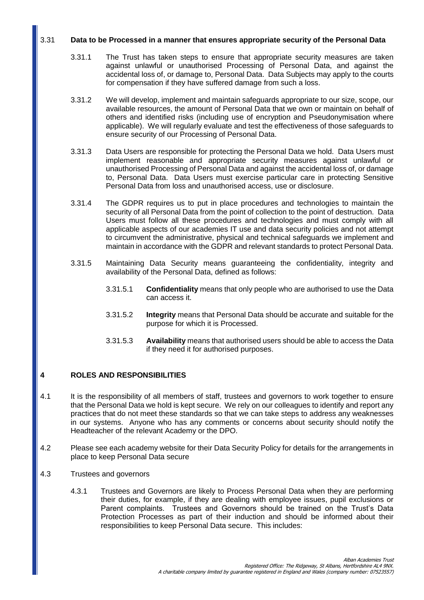## 3.31 **Data to be Processed in a manner that ensures appropriate security of the Personal Data**

- 3.31.1 The Trust has taken steps to ensure that appropriate security measures are taken against unlawful or unauthorised Processing of Personal Data, and against the accidental loss of, or damage to, Personal Data. Data Subjects may apply to the courts for compensation if they have suffered damage from such a loss.
- 3.31.2 We will develop, implement and maintain safeguards appropriate to our size, scope, our available resources, the amount of Personal Data that we own or maintain on behalf of others and identified risks (including use of encryption and Pseudonymisation where applicable). We will regularly evaluate and test the effectiveness of those safeguards to ensure security of our Processing of Personal Data.
- 3.31.3 Data Users are responsible for protecting the Personal Data we hold. Data Users must implement reasonable and appropriate security measures against unlawful or unauthorised Processing of Personal Data and against the accidental loss of, or damage to, Personal Data. Data Users must exercise particular care in protecting Sensitive Personal Data from loss and unauthorised access, use or disclosure.
- 3.31.4 The GDPR requires us to put in place procedures and technologies to maintain the security of all Personal Data from the point of collection to the point of destruction. Data Users must follow all these procedures and technologies and must comply with all applicable aspects of our academies IT use and data security policies and not attempt to circumvent the administrative, physical and technical safeguards we implement and maintain in accordance with the GDPR and relevant standards to protect Personal Data.
- 3.31.5 Maintaining Data Security means guaranteeing the confidentiality, integrity and availability of the Personal Data, defined as follows:
	- 3.31.5.1 **Confidentiality** means that only people who are authorised to use the Data can access it.
	- 3.31.5.2 **Integrity** means that Personal Data should be accurate and suitable for the purpose for which it is Processed.
	- 3.31.5.3 **Availability** means that authorised users should be able to access the Data if they need it for authorised purposes.

## **4 ROLES AND RESPONSIBILITIES**

- 4.1 It is the responsibility of all members of staff, trustees and governors to work together to ensure that the Personal Data we hold is kept secure. We rely on our colleagues to identify and report any practices that do not meet these standards so that we can take steps to address any weaknesses in our systems. Anyone who has any comments or concerns about security should notify the Headteacher of the relevant Academy or the DPO.
- 4.2 Please see each academy website for their Data Security Policy for details for the arrangements in place to keep Personal Data secure
- 4.3 Trustees and governors
	- 4.3.1 Trustees and Governors are likely to Process Personal Data when they are performing their duties, for example, if they are dealing with employee issues, pupil exclusions or Parent complaints. Trustees and Governors should be trained on the Trust's Data Protection Processes as part of their induction and should be informed about their responsibilities to keep Personal Data secure. This includes: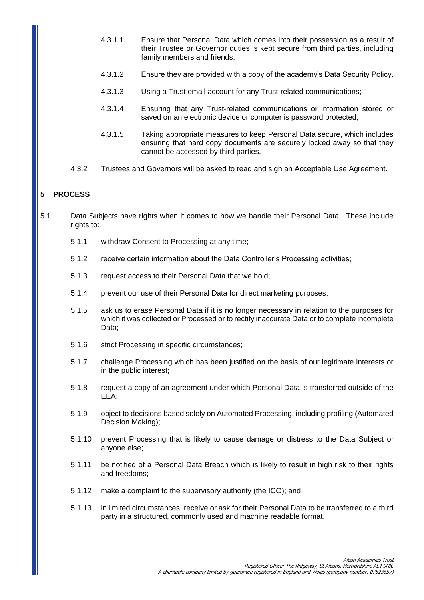- 4.3.1.1 Ensure that Personal Data which comes into their possession as a result of their Trustee or Governor duties is kept secure from third parties, including family members and friends;
- 4.3.1.2 Ensure they are provided with a copy of the academy's Data Security Policy.
- 4.3.1.3 Using a Trust email account for any Trust-related communications;
- 4.3.1.4 Ensuring that any Trust-related communications or information stored or saved on an electronic device or computer is password protected;
- 4.3.1.5 Taking appropriate measures to keep Personal Data secure, which includes ensuring that hard copy documents are securely locked away so that they cannot be accessed by third parties.
- 4.3.2 Trustees and Governors will be asked to read and sign an Acceptable Use Agreement.

## **5 PROCESS**

- 5.1 Data Subjects have rights when it comes to how we handle their Personal Data. These include rights to:
	- 5.1.1 withdraw Consent to Processing at any time;
	- 5.1.2 receive certain information about the Data Controller's Processing activities;
	- 5.1.3 request access to their Personal Data that we hold;
	- 5.1.4 prevent our use of their Personal Data for direct marketing purposes;
	- 5.1.5 ask us to erase Personal Data if it is no longer necessary in relation to the purposes for which it was collected or Processed or to rectify inaccurate Data or to complete incomplete Data;
	- 5.1.6 strict Processing in specific circumstances;
	- 5.1.7 challenge Processing which has been justified on the basis of our legitimate interests or in the public interest;
	- 5.1.8 request a copy of an agreement under which Personal Data is transferred outside of the EEA;
	- 5.1.9 object to decisions based solely on Automated Processing, including profiling (Automated Decision Making);
	- 5.1.10 prevent Processing that is likely to cause damage or distress to the Data Subject or anyone else;
	- 5.1.11 be notified of a Personal Data Breach which is likely to result in high risk to their rights and freedoms;
	- 5.1.12 make a complaint to the supervisory authority (the ICO); and
	- 5.1.13 in limited circumstances, receive or ask for their Personal Data to be transferred to a third party in a structured, commonly used and machine readable format.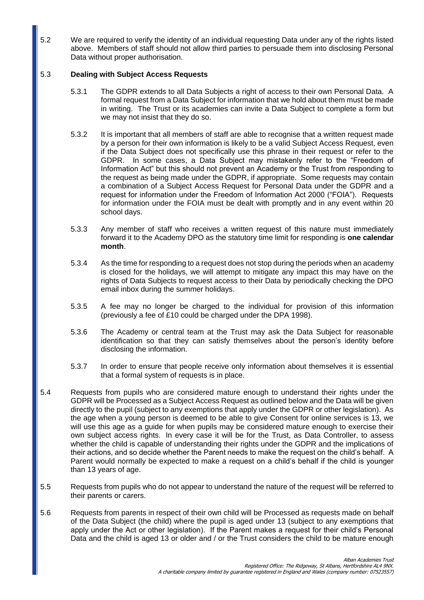5.2 We are required to verify the identity of an individual requesting Data under any of the rights listed above. Members of staff should not allow third parties to persuade them into disclosing Personal Data without proper authorisation.

## 5.3 **Dealing with Subject Access Requests**

- 5.3.1 The GDPR extends to all Data Subjects a right of access to their own Personal Data. A formal request from a Data Subject for information that we hold about them must be made in writing. The Trust or its academies can invite a Data Subject to complete a form but we may not insist that they do so.
- 5.3.2 It is important that all members of staff are able to recognise that a written request made by a person for their own information is likely to be a valid Subject Access Request, even if the Data Subject does not specifically use this phrase in their request or refer to the GDPR. In some cases, a Data Subject may mistakenly refer to the "Freedom of Information Act" but this should not prevent an Academy or the Trust from responding to the request as being made under the GDPR, if appropriate. Some requests may contain a combination of a Subject Access Request for Personal Data under the GDPR and a request for information under the Freedom of Information Act 2000 ("FOIA"). Requests for information under the FOIA must be dealt with promptly and in any event within 20 school days.
- 5.3.3 Any member of staff who receives a written request of this nature must immediately forward it to the Academy DPO as the statutory time limit for responding is **one calendar month**.
- 5.3.4 As the time for responding to a request does not stop during the periods when an academy is closed for the holidays, we will attempt to mitigate any impact this may have on the rights of Data Subjects to request access to their Data by periodically checking the DPO email inbox during the summer holidays.
- 5.3.5 A fee may no longer be charged to the individual for provision of this information (previously a fee of £10 could be charged under the DPA 1998).
- 5.3.6 The Academy or central team at the Trust may ask the Data Subject for reasonable identification so that they can satisfy themselves about the person's identity before disclosing the information.
- 5.3.7 In order to ensure that people receive only information about themselves it is essential that a formal system of requests is in place.
- 5.4 Requests from pupils who are considered mature enough to understand their rights under the GDPR will be Processed as a Subject Access Request as outlined below and the Data will be given directly to the pupil (subject to any exemptions that apply under the GDPR or other legislation). As the age when a young person is deemed to be able to give Consent for online services is 13, we will use this age as a guide for when pupils may be considered mature enough to exercise their own subject access rights. In every case it will be for the Trust, as Data Controller, to assess whether the child is capable of understanding their rights under the GDPR and the implications of their actions, and so decide whether the Parent needs to make the request on the child's behalf. A Parent would normally be expected to make a request on a child's behalf if the child is younger than 13 years of age.
- 5.5 Requests from pupils who do not appear to understand the nature of the request will be referred to their parents or carers.
- 5.6 Requests from parents in respect of their own child will be Processed as requests made on behalf of the Data Subject (the child) where the pupil is aged under 13 (subject to any exemptions that apply under the Act or other legislation). If the Parent makes a request for their child's Personal Data and the child is aged 13 or older and / or the Trust considers the child to be mature enough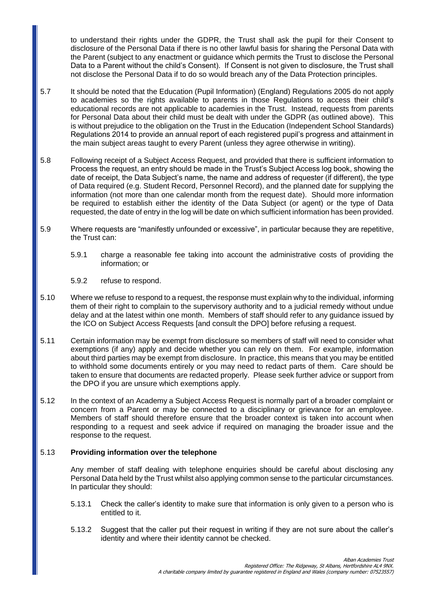to understand their rights under the GDPR, the Trust shall ask the pupil for their Consent to disclosure of the Personal Data if there is no other lawful basis for sharing the Personal Data with the Parent (subject to any enactment or guidance which permits the Trust to disclose the Personal Data to a Parent without the child's Consent). If Consent is not given to disclosure, the Trust shall not disclose the Personal Data if to do so would breach any of the Data Protection principles.

- 5.7 It should be noted that the Education (Pupil Information) (England) Regulations 2005 do not apply to academies so the rights available to parents in those Regulations to access their child's educational records are not applicable to academies in the Trust. Instead, requests from parents for Personal Data about their child must be dealt with under the GDPR (as outlined above). This is without prejudice to the obligation on the Trust in the Education (Independent School Standards) Regulations 2014 to provide an annual report of each registered pupil's progress and attainment in the main subject areas taught to every Parent (unless they agree otherwise in writing).
- 5.8 Following receipt of a Subject Access Request, and provided that there is sufficient information to Process the request, an entry should be made in the Trust's Subject Access log book, showing the date of receipt, the Data Subject's name, the name and address of requester (if different), the type of Data required (e.g. Student Record, Personnel Record), and the planned date for supplying the information (not more than one calendar month from the request date). Should more information be required to establish either the identity of the Data Subject (or agent) or the type of Data requested, the date of entry in the log will be date on which sufficient information has been provided.
- 5.9 Where requests are "manifestly unfounded or excessive", in particular because they are repetitive, the Trust can:
	- 5.9.1 charge a reasonable fee taking into account the administrative costs of providing the information; or
	- 5.9.2 refuse to respond.
- 5.10 Where we refuse to respond to a request, the response must explain why to the individual, informing them of their right to complain to the supervisory authority and to a judicial remedy without undue delay and at the latest within one month. Members of staff should refer to any guidance issued by the ICO on Subject Access Requests [and consult the DPO] before refusing a request.
- 5.11 Certain information may be exempt from disclosure so members of staff will need to consider what exemptions (if any) apply and decide whether you can rely on them. For example, information about third parties may be exempt from disclosure. In practice, this means that you may be entitled to withhold some documents entirely or you may need to redact parts of them. Care should be taken to ensure that documents are redacted properly. Please seek further advice or support from the DPO if you are unsure which exemptions apply.
- 5.12 In the context of an Academy a Subject Access Request is normally part of a broader complaint or concern from a Parent or may be connected to a disciplinary or grievance for an employee. Members of staff should therefore ensure that the broader context is taken into account when responding to a request and seek advice if required on managing the broader issue and the response to the request.

### 5.13 **Providing information over the telephone**

Any member of staff dealing with telephone enquiries should be careful about disclosing any Personal Data held by the Trust whilst also applying common sense to the particular circumstances. In particular they should:

- 5.13.1 Check the caller's identity to make sure that information is only given to a person who is entitled to it.
- 5.13.2 Suggest that the caller put their request in writing if they are not sure about the caller's identity and where their identity cannot be checked.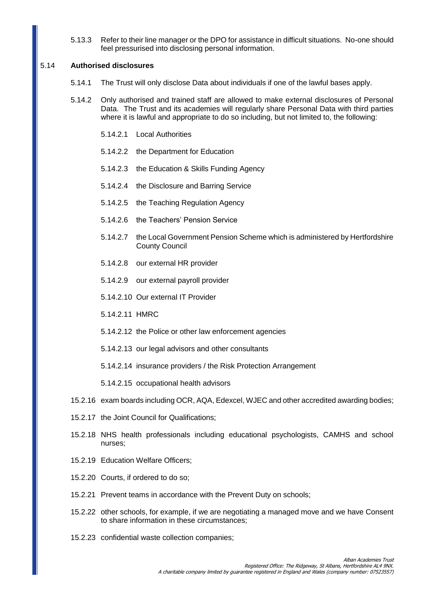5.13.3 Refer to their line manager or the DPO for assistance in difficult situations. No-one should feel pressurised into disclosing personal information.

#### 5.14 **Authorised disclosures**

- 5.14.1 The Trust will only disclose Data about individuals if one of the lawful bases apply.
- 5.14.2 Only authorised and trained staff are allowed to make external disclosures of Personal Data. The Trust and its academies will regularly share Personal Data with third parties where it is lawful and appropriate to do so including, but not limited to, the following:
	- 5.14.2.1 Local Authorities
	- 5.14.2.2 the Department for Education
	- 5.14.2.3 the Education & Skills Funding Agency
	- 5.14.2.4 the Disclosure and Barring Service
	- 5.14.2.5 the Teaching Regulation Agency
	- 5.14.2.6 the Teachers' Pension Service
	- 5.14.2.7 the Local Government Pension Scheme which is administered by Hertfordshire County Council
	- 5.14.2.8 our external HR provider
	- 5.14.2.9 our external payroll provider
	- 5.14.2.10 Our external IT Provider
	- 5.14.2.11 HMRC
	- 5.14.2.12 the Police or other law enforcement agencies
	- 5.14.2.13 our legal advisors and other consultants
	- 5.14.2.14 insurance providers / the Risk Protection Arrangement

5.14.2.15 occupational health advisors

- 15.2.16 exam boards including OCR, AQA, Edexcel, WJEC and other accredited awarding bodies;
- 15.2.17 the Joint Council for Qualifications;
- 15.2.18 NHS health professionals including educational psychologists, CAMHS and school nurses;
- 15.2.19 Education Welfare Officers;
- 15.2.20 Courts, if ordered to do so;
- 15.2.21 Prevent teams in accordance with the Prevent Duty on schools;
- 15.2.22 other schools, for example, if we are negotiating a managed move and we have Consent to share information in these circumstances;
- 15.2.23 confidential waste collection companies;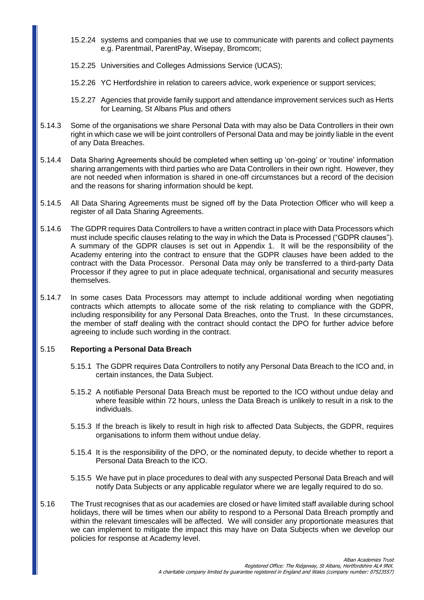- 15.2.24 systems and companies that we use to communicate with parents and collect payments e.g. Parentmail, ParentPay, Wisepay, Bromcom;
- 15.2.25 Universities and Colleges Admissions Service (UCAS);
- 15.2.26 YC Hertfordshire in relation to careers advice, work experience or support services;
- 15.2.27 Agencies that provide family support and attendance improvement services such as Herts for Learning, St Albans Plus and others
- 5.14.3 Some of the organisations we share Personal Data with may also be Data Controllers in their own right in which case we will be joint controllers of Personal Data and may be jointly liable in the event of any Data Breaches.
- 5.14.4 Data Sharing Agreements should be completed when setting up 'on-going' or 'routine' information sharing arrangements with third parties who are Data Controllers in their own right. However, they are not needed when information is shared in one-off circumstances but a record of the decision and the reasons for sharing information should be kept.
- 5.14.5 All Data Sharing Agreements must be signed off by the Data Protection Officer who will keep a register of all Data Sharing Agreements.
- 5.14.6 The GDPR requires Data Controllers to have a written contract in place with Data Processors which must include specific clauses relating to the way in which the Data is Processed ("GDPR clauses"). A summary of the GDPR clauses is set out in Appendix 1. It will be the responsibility of the Academy entering into the contract to ensure that the GDPR clauses have been added to the contract with the Data Processor. Personal Data may only be transferred to a third-party Data Processor if they agree to put in place adequate technical, organisational and security measures themselves.
- 5.14.7 In some cases Data Processors may attempt to include additional wording when negotiating contracts which attempts to allocate some of the risk relating to compliance with the GDPR, including responsibility for any Personal Data Breaches, onto the Trust. In these circumstances, the member of staff dealing with the contract should contact the DPO for further advice before agreeing to include such wording in the contract.

#### 5.15 **Reporting a Personal Data Breach**

- 5.15.1 The GDPR requires Data Controllers to notify any Personal Data Breach to the ICO and, in certain instances, the Data Subject.
- 5.15.2 A notifiable Personal Data Breach must be reported to the ICO without undue delay and where feasible within 72 hours, unless the Data Breach is unlikely to result in a risk to the individuals.
- 5.15.3 If the breach is likely to result in high risk to affected Data Subjects, the GDPR, requires organisations to inform them without undue delay.
- 5.15.4 It is the responsibility of the DPO, or the nominated deputy, to decide whether to report a Personal Data Breach to the ICO.
- 5.15.5 We have put in place procedures to deal with any suspected Personal Data Breach and will notify Data Subjects or any applicable regulator where we are legally required to do so.
- 5.16 The Trust recognises that as our academies are closed or have limited staff available during school holidays, there will be times when our ability to respond to a Personal Data Breach promptly and within the relevant timescales will be affected. We will consider any proportionate measures that we can implement to mitigate the impact this may have on Data Subjects when we develop our policies for response at Academy level.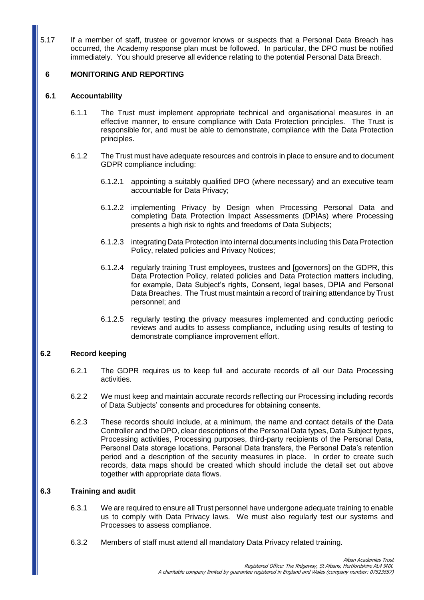5.17 If a member of staff, trustee or governor knows or suspects that a Personal Data Breach has occurred, the Academy response plan must be followed. In particular, the DPO must be notified immediately. You should preserve all evidence relating to the potential Personal Data Breach.

## **6 MONITORING AND REPORTING**

### **6.1 Accountability**

- 6.1.1 The Trust must implement appropriate technical and organisational measures in an effective manner, to ensure compliance with Data Protection principles. The Trust is responsible for, and must be able to demonstrate, compliance with the Data Protection principles.
- 6.1.2 The Trust must have adequate resources and controls in place to ensure and to document GDPR compliance including:
	- 6.1.2.1 appointing a suitably qualified DPO (where necessary) and an executive team accountable for Data Privacy;
	- 6.1.2.2 implementing Privacy by Design when Processing Personal Data and completing Data Protection Impact Assessments (DPIAs) where Processing presents a high risk to rights and freedoms of Data Subjects;
	- 6.1.2.3 integrating Data Protection into internal documents including this Data Protection Policy, related policies and Privacy Notices;
	- 6.1.2.4 regularly training Trust employees, trustees and [governors] on the GDPR, this Data Protection Policy, related policies and Data Protection matters including, for example, Data Subject's rights, Consent, legal bases, DPIA and Personal Data Breaches. The Trust must maintain a record of training attendance by Trust personnel; and
	- 6.1.2.5 regularly testing the privacy measures implemented and conducting periodic reviews and audits to assess compliance, including using results of testing to demonstrate compliance improvement effort.

### **6.2 Record keeping**

- 6.2.1 The GDPR requires us to keep full and accurate records of all our Data Processing activities.
- 6.2.2 We must keep and maintain accurate records reflecting our Processing including records of Data Subjects' consents and procedures for obtaining consents.
- 6.2.3 These records should include, at a minimum, the name and contact details of the Data Controller and the DPO, clear descriptions of the Personal Data types, Data Subject types, Processing activities, Processing purposes, third-party recipients of the Personal Data, Personal Data storage locations, Personal Data transfers, the Personal Data's retention period and a description of the security measures in place. In order to create such records, data maps should be created which should include the detail set out above together with appropriate data flows.

## **6.3 Training and audit**

- 6.3.1 We are required to ensure all Trust personnel have undergone adequate training to enable us to comply with Data Privacy laws. We must also regularly test our systems and Processes to assess compliance.
- 6.3.2 Members of staff must attend all mandatory Data Privacy related training.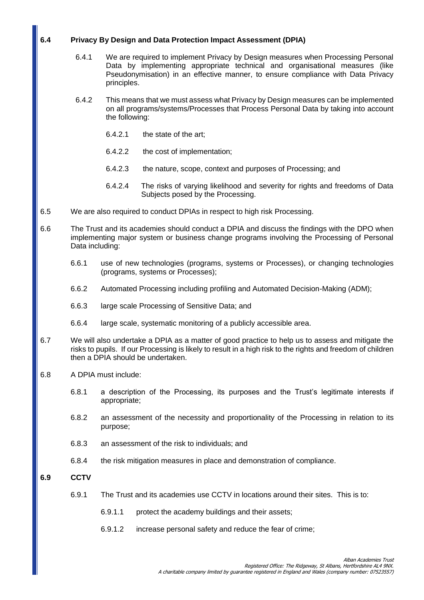## **6.4 Privacy By Design and Data Protection Impact Assessment (DPIA)**

- 6.4.1 We are required to implement Privacy by Design measures when Processing Personal Data by implementing appropriate technical and organisational measures (like Pseudonymisation) in an effective manner, to ensure compliance with Data Privacy principles.
- 6.4.2 This means that we must assess what Privacy by Design measures can be implemented on all programs/systems/Processes that Process Personal Data by taking into account the following:
	- 6.4.2.1 the state of the art;
	- 6.4.2.2 the cost of implementation;
	- 6.4.2.3 the nature, scope, context and purposes of Processing; and
	- 6.4.2.4 The risks of varying likelihood and severity for rights and freedoms of Data Subjects posed by the Processing.
- 6.5 We are also required to conduct DPIAs in respect to high risk Processing.
- 6.6 The Trust and its academies should conduct a DPIA and discuss the findings with the DPO when implementing major system or business change programs involving the Processing of Personal Data including:
	- 6.6.1 use of new technologies (programs, systems or Processes), or changing technologies (programs, systems or Processes);
	- 6.6.2 Automated Processing including profiling and Automated Decision-Making (ADM);
	- 6.6.3 large scale Processing of Sensitive Data; and
	- 6.6.4 large scale, systematic monitoring of a publicly accessible area.
- 6.7 We will also undertake a DPIA as a matter of good practice to help us to assess and mitigate the risks to pupils. If our Processing is likely to result in a high risk to the rights and freedom of children then a DPIA should be undertaken.
- 6.8 A DPIA must include:
	- 6.8.1 a description of the Processing, its purposes and the Trust's legitimate interests if appropriate;
	- 6.8.2 an assessment of the necessity and proportionality of the Processing in relation to its purpose;
	- 6.8.3 an assessment of the risk to individuals; and
	- 6.8.4 the risk mitigation measures in place and demonstration of compliance.

## **6.9 CCTV**

- 6.9.1 The Trust and its academies use CCTV in locations around their sites. This is to:
	- 6.9.1.1 protect the academy buildings and their assets;
	- 6.9.1.2 increase personal safety and reduce the fear of crime;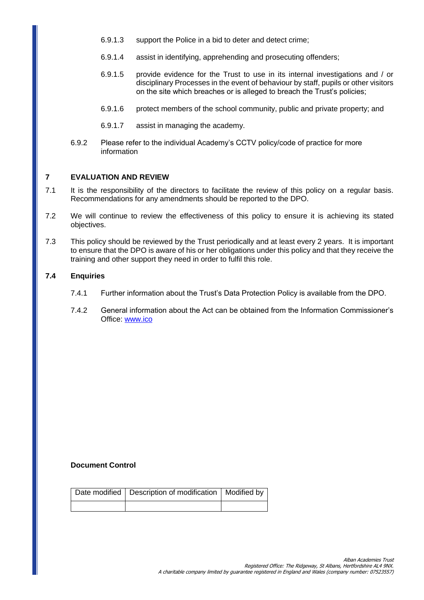- 6.9.1.3 support the Police in a bid to deter and detect crime;
- 6.9.1.4 assist in identifying, apprehending and prosecuting offenders;
- 6.9.1.5 provide evidence for the Trust to use in its internal investigations and / or disciplinary Processes in the event of behaviour by staff, pupils or other visitors on the site which breaches or is alleged to breach the Trust's policies;
- 6.9.1.6 protect members of the school community, public and private property; and
- 6.9.1.7 assist in managing the academy.
- 6.9.2 Please refer to the individual Academy's CCTV policy/code of practice for more information

## **7 EVALUATION AND REVIEW**

- 7.1 It is the responsibility of the directors to facilitate the review of this policy on a regular basis. Recommendations for any amendments should be reported to the DPO.
- 7.2 We will continue to review the effectiveness of this policy to ensure it is achieving its stated objectives.
- 7.3 This policy should be reviewed by the Trust periodically and at least every 2 years. It is important to ensure that the DPO is aware of his or her obligations under this policy and that they receive the training and other support they need in order to fulfil this role.

#### **7.4 Enquiries**

- 7.4.1 Further information about the Trust's Data Protection Policy is available from the DPO.
- 7.4.2 General information about the Act can be obtained from the Information Commissioner's Office: [www.ico](http://www.ico/)

### **Document Control**

| Date modified   Description of modification   Modified by |  |
|-----------------------------------------------------------|--|
|                                                           |  |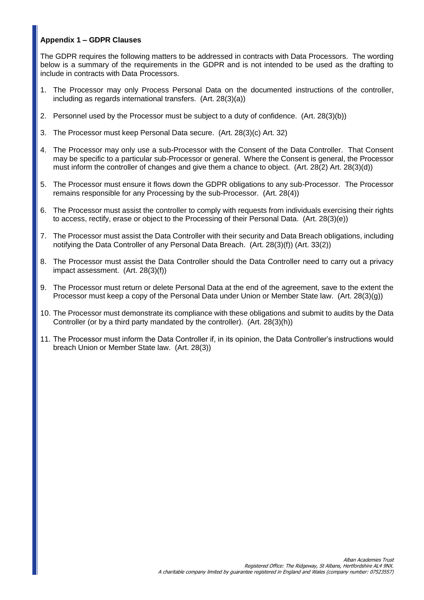## **Appendix 1 – GDPR Clauses**

The GDPR requires the following matters to be addressed in contracts with Data Processors. The wording below is a summary of the requirements in the GDPR and is not intended to be used as the drafting to include in contracts with Data Processors.

- 1. The Processor may only Process Personal Data on the documented instructions of the controller, including as regards international transfers. (Art. 28(3)(a))
- 2. Personnel used by the Processor must be subject to a duty of confidence. (Art. 28(3)(b))
- 3. The Processor must keep Personal Data secure. (Art. 28(3)(c) Art. 32)
- 4. The Processor may only use a sub-Processor with the Consent of the Data Controller. That Consent may be specific to a particular sub-Processor or general. Where the Consent is general, the Processor must inform the controller of changes and give them a chance to object. (Art. 28(2) Art. 28(3)(d))
- 5. The Processor must ensure it flows down the GDPR obligations to any sub-Processor. The Processor remains responsible for any Processing by the sub-Processor. (Art. 28(4))
- 6. The Processor must assist the controller to comply with requests from individuals exercising their rights to access, rectify, erase or object to the Processing of their Personal Data. (Art. 28(3)(e))
- 7. The Processor must assist the Data Controller with their security and Data Breach obligations, including notifying the Data Controller of any Personal Data Breach. (Art. 28(3)(f)) (Art. 33(2))
- 8. The Processor must assist the Data Controller should the Data Controller need to carry out a privacy impact assessment. (Art. 28(3)(f))
- 9. The Processor must return or delete Personal Data at the end of the agreement, save to the extent the Processor must keep a copy of the Personal Data under Union or Member State law. (Art. 28(3)(g))
- 10. The Processor must demonstrate its compliance with these obligations and submit to audits by the Data Controller (or by a third party mandated by the controller). (Art. 28(3)(h))
- 11. The Processor must inform the Data Controller if, in its opinion, the Data Controller's instructions would breach Union or Member State law. (Art. 28(3))